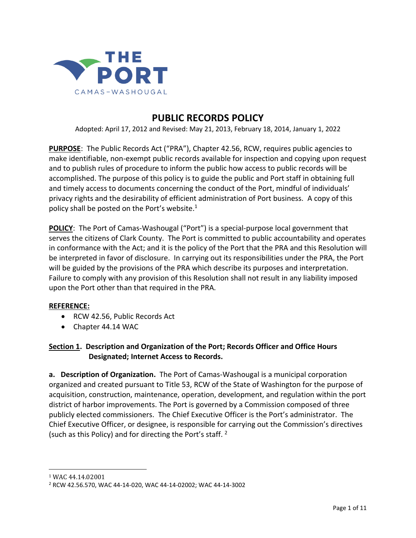

# **PUBLIC RECORDS POLICY**

Adopted: April 17, 2012 and Revised: May 21, 2013, February 18, 2014, January 1, 2022

**PURPOSE**: The Public Records Act ("PRA"), Chapter 42.56, RCW, requires public agencies to make identifiable, non-exempt public records available for inspection and copying upon request and to publish rules of procedure to inform the public how access to public records will be accomplished. The purpose of this policy is to guide the public and Port staff in obtaining full and timely access to documents concerning the conduct of the Port, mindful of individuals' privacy rights and the desirability of efficient administration of Port business. A copy of this policy shall be posted on the Port's website. $1$ 

**POLICY**: The Port of Camas-Washougal ("Port") is a special-purpose local government that serves the citizens of Clark County. The Port is committed to public accountability and operates in conformance with the Act; and it is the policy of the Port that the PRA and this Resolution will be interpreted in favor of disclosure. In carrying out its responsibilities under the PRA, the Port will be guided by the provisions of the PRA which describe its purposes and interpretation. Failure to comply with any provision of this Resolution shall not result in any liability imposed upon the Port other than that required in the PRA.

#### **REFERENCE:**

- RCW 42.56, Public Records Act
- Chapter 44.14 WAC

**Section 1. Description and Organization of the Port; Records Officer and Office Hours Designated; Internet Access to Records.**

**a. Description of Organization.** The Port of Camas-Washougal is a municipal corporation organized and created pursuant to Title 53, RCW of the State of Washington for the purpose of acquisition, construction, maintenance, operation, development, and regulation within the port district of harbor improvements. The Port is governed by a Commission composed of three publicly elected commissioners. The Chief Executive Officer is the Port's administrator. The Chief Executive Officer, or designee, is responsible for carrying out the Commission's directives (such as this Policy) and for directing the Port's staff. <sup>2</sup>

<sup>1</sup> WAC 44.14.02001

<sup>2</sup> RCW 42.56.570, WAC 44-14-020, WAC 44-14-02002; WAC 44-14-3002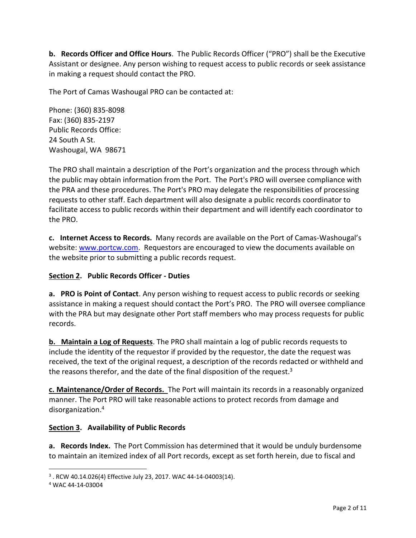**b. Records Officer and Office Hours**. The Public Records Officer ("PRO") shall be the Executive Assistant or designee. Any person wishing to request access to public records or seek assistance in making a request should contact the PRO.

The Port of Camas Washougal PRO can be contacted at:

Phone: (360) 835-8098 Fax: (360) 835-2197 Public Records Office: 24 South A St. Washougal, WA 98671

The PRO shall maintain a description of the Port's organization and the process through which the public may obtain information from the Port. The Port's PRO will oversee compliance with the PRA and these procedures. The Port's PRO may delegate the responsibilities of processing requests to other staff. Each department will also designate a public records coordinator to facilitate access to public records within their department and will identify each coordinator to the PRO.

**c. Internet Access to Records.** Many records are available on the Port of Camas-Washougal's website: [www.portcw.com.](http://www.portcw.com/) Requestors are encouraged to view the documents available on the website prior to submitting a public records request.

## **Section 2. Public Records Officer - Duties**

**a. PRO is Point of Contact**. Any person wishing to request access to public records or seeking assistance in making a request should contact the Port's PRO. The PRO will oversee compliance with the PRA but may designate other Port staff members who may process requests for public records.

**b. Maintain a Log of Requests**. The PRO shall maintain a log of public records requests to include the identity of the requestor if provided by the requestor, the date the request was received, the text of the original request, a description of the records redacted or withheld and the reasons therefor, and the date of the final disposition of the request.<sup>3</sup>

**c. Maintenance/Order of Records.** The Port will maintain its records in a reasonably organized manner. The Port PRO will take reasonable actions to protect records from damage and disorganization.<sup>4</sup>

#### **Section 3. Availability of Public Records**

**a. Records Index.** The Port Commission has determined that it would be unduly burdensome to maintain an itemized index of all Port records, except as set forth herein, due to fiscal and

 $3$  . RCW 40.14.026(4) Effective July 23, 2017. WAC 44-14-04003(14).

<sup>4</sup> WAC 44-14-03004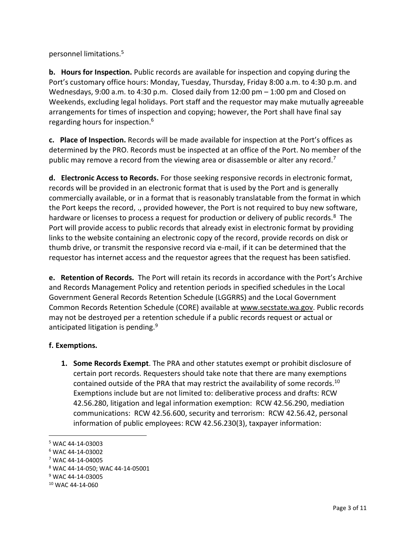personnel limitations.<sup>5</sup>

**b. Hours for Inspection.** Public records are available for inspection and copying during the Port's customary office hours: Monday, Tuesday, Thursday, Friday 8:00 a.m. to 4:30 p.m. and Wednesdays, 9:00 a.m. to 4:30 p.m. Closed daily from  $12:00$  pm  $-1:00$  pm and Closed on Weekends, excluding legal holidays. Port staff and the requestor may make mutually agreeable arrangements for times of inspection and copying; however, the Port shall have final say regarding hours for inspection.<sup>6</sup>

**c. Place of Inspection.** Records will be made available for inspection at the Port's offices as determined by the PRO. Records must be inspected at an office of the Port. No member of the public may remove a record from the viewing area or disassemble or alter any record.<sup>7</sup>

**d. Electronic Access to Records.** For those seeking responsive records in electronic format, records will be provided in an electronic format that is used by the Port and is generally commercially available, or in a format that is reasonably translatable from the format in which the Port keeps the record, ., provided however, the Port is not required to buy new software, hardware or licenses to process a request for production or delivery of public records.<sup>8</sup> The Port will provide access to public records that already exist in electronic format by providing links to the website containing an electronic copy of the record, provide records on disk or thumb drive, or transmit the responsive record via e-mail, if it can be determined that the requestor has internet access and the requestor agrees that the request has been satisfied.

**e. Retention of Records.** The Port will retain its records in accordance with the Port's Archive and Records Management Policy and retention periods in specified schedules in the Local Government General Records Retention Schedule (LGGRRS) and the Local Government Common Records Retention Schedule (CORE) available at [www.secstate.wa.gov.](http://www.secstate.wa.gov/) Public records may not be destroyed per a retention schedule if a public records request or actual or anticipated litigation is pending.<sup>9</sup>

## **f. Exemptions.**

**1. Some Records Exempt**. The PRA and other statutes exempt or prohibit disclosure of certain port records. Requesters should take note that there are many exemptions contained outside of the PRA that may restrict the availability of some records.<sup>10</sup> Exemptions include but are not limited to: deliberative process and drafts: RCW 42.56.280, litigation and legal information exemption: RCW 42.56.290, mediation communications: RCW 42.56.600, security and terrorism: RCW 42.56.42, personal information of public employees: RCW 42.56.230(3), taxpayer information:

<sup>5</sup> WAC 44-14-03003

<sup>6</sup> WAC 44-14-03002

<sup>7</sup> WAC 44-14-04005

<sup>8</sup> WAC 44-14-050; WAC 44-14-05001

<sup>9</sup> WAC 44-14-03005

<sup>10</sup> WAC 44-14-060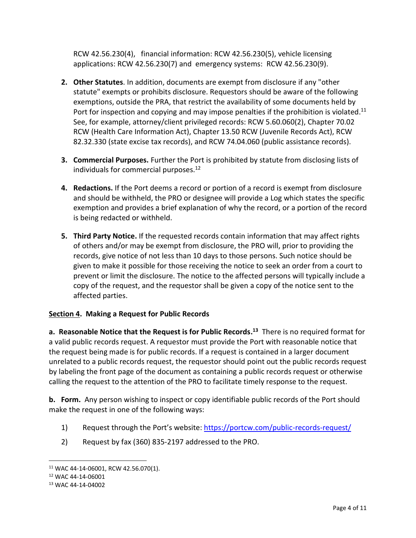RCW 42.56.230(4), financial information: RCW 42.56.230(5), vehicle licensing applications: RCW 42.56.230(7) and emergency systems: RCW 42.56.230(9).

- **2. Other Statutes**. In addition, documents are exempt from disclosure if any "other statute" exempts or prohibits disclosure. Requestors should be aware of the following exemptions, outside the PRA, that restrict the availability of some documents held by Port for inspection and copying and may impose penalties if the prohibition is violated.<sup>11</sup> See, for example, attorney/client privileged records: RCW 5.60.060(2), Chapter 70.02 RCW (Health Care Information Act), Chapter 13.50 RCW (Juvenile Records Act), RCW 82.32.330 (state excise tax records), and RCW 74.04.060 (public assistance records).
- **3. Commercial Purposes.** Further the Port is prohibited by statute from disclosing lists of individuals for commercial purposes.<sup>12</sup>
- **4. Redactions.** If the Port deems a record or portion of a record is exempt from disclosure and should be withheld, the PRO or designee will provide a Log which states the specific exemption and provides a brief explanation of why the record, or a portion of the record is being redacted or withheld.
- **5. Third Party Notice.** If the requested records contain information that may affect rights of others and/or may be exempt from disclosure, the PRO will, prior to providing the records, give notice of not less than 10 days to those persons. Such notice should be given to make it possible for those receiving the notice to seek an order from a court to prevent or limit the disclosure. The notice to the affected persons will typically include a copy of the request, and the requestor shall be given a copy of the notice sent to the affected parties.

## **Section 4. Making a Request for Public Records**

**a. Reasonable Notice that the Request is for Public Records. <sup>13</sup>** There is no required format for a valid public records request. A requestor must provide the Port with reasonable notice that the request being made is for public records. If a request is contained in a larger document unrelated to a public records request, the requestor should point out the public records request by labeling the front page of the document as containing a public records request or otherwise calling the request to the attention of the PRO to facilitate timely response to the request.

**b. Form.** Any person wishing to inspect or copy identifiable public records of the Port should make the request in one of the following ways:

- 1) Request through the Port's website:<https://portcw.com/public-records-request/>
- 2) Request by fax (360) 835-2197 addressed to the PRO.

<sup>11</sup> WAC 44-14-06001, RCW 42.56.070(1).

<sup>12</sup> WAC 44-14-06001

<sup>13</sup> WAC 44-14-04002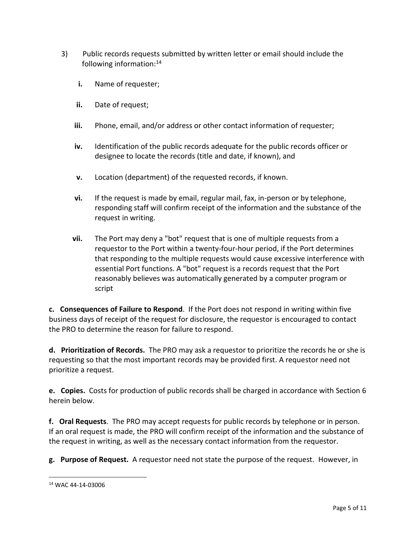- 3) Public records requests submitted by written letter or email should include the following information:<sup>14</sup>
	- **i.** Name of requester;
	- **ii.** Date of request;
	- **iii.** Phone, email, and/or address or other contact information of requester;
	- **iv.** Identification of the public records adequate for the public records officer or designee to locate the records (title and date, if known), and
	- **v.** Location (department) of the requested records, if known.
	- **vi.** If the request is made by email, regular mail, fax, in-person or by telephone, responding staff will confirm receipt of the information and the substance of the request in writing.
	- **vii.** The Port may deny a "bot" request that is one of multiple requests from a requestor to the Port within a twenty-four-hour period, if the Port determines that responding to the multiple requests would cause excessive interference with essential Port functions. A "bot" request is a records request that the Port reasonably believes was automatically generated by a computer program or script

**c. Consequences of Failure to Respond**. If the Port does not respond in writing within five business days of receipt of the request for disclosure, the requestor is encouraged to contact the PRO to determine the reason for failure to respond.

**d. Prioritization of Records.** The PRO may ask a requestor to prioritize the records he or she is requesting so that the most important records may be provided first. A requestor need not prioritize a request.

**e. Copies.** Costs for production of public records shall be charged in accordance with Section 6 herein below.

**f. Oral Requests**. The PRO may accept requests for public records by telephone or in person. If an oral request is made, the PRO will confirm receipt of the information and the substance of the request in writing, as well as the necessary contact information from the requestor.

**g. Purpose of Request.** A requestor need not state the purpose of the request. However, in

<sup>14</sup> WAC 44-14-03006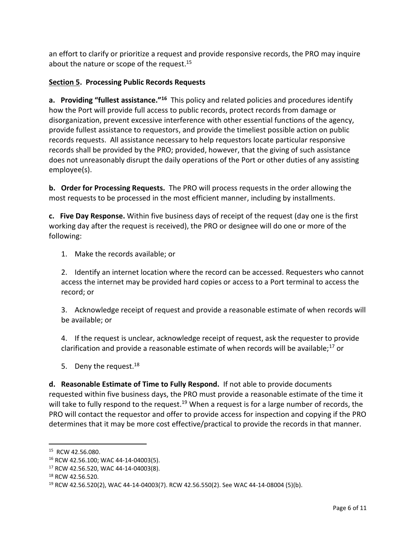an effort to clarify or prioritize a request and provide responsive records, the PRO may inquire about the nature or scope of the request.<sup>15</sup>

# **Section 5. Processing Public Records Requests**

**a. Providing "fullest assistance."<sup>16</sup>** This policy and related policies and procedures identify how the Port will provide full access to public records, protect records from damage or disorganization, prevent excessive interference with other essential functions of the agency, provide fullest assistance to requestors, and provide the timeliest possible action on public records requests. All assistance necessary to help requestors locate particular responsive records shall be provided by the PRO; provided, however, that the giving of such assistance does not unreasonably disrupt the daily operations of the Port or other duties of any assisting employee(s).

**b. Order for Processing Requests.** The PRO will process requests in the order allowing the most requests to be processed in the most efficient manner, including by installments.

**c. Five Day Response.** Within five business days of receipt of the request (day one is the first working day after the request is received), the PRO or designee will do one or more of the following:

1. Make the records available; or

2. Identify an internet location where the record can be accessed. Requesters who cannot access the internet may be provided hard copies or access to a Port terminal to access the record; or

3. Acknowledge receipt of request and provide a reasonable estimate of when records will be available; or

4. If the request is unclear, acknowledge receipt of request, ask the requester to provide clarification and provide a reasonable estimate of when records will be available;<sup>17</sup> or

5. Deny the request. $18$ 

**d. Reasonable Estimate of Time to Fully Respond.** If not able to provide documents requested within five business days, the PRO must provide a reasonable estimate of the time it will take to fully respond to the request.<sup>19</sup> When a request is for a large number of records, the PRO will contact the requestor and offer to provide access for inspection and copying if the PRO determines that it may be more cost effective/practical to provide the records in that manner.

<sup>&</sup>lt;sup>15</sup> RCW 42.56.080.

<sup>16</sup> RCW 42.56.100; WAC 44-14-04003(5).

<sup>17</sup> RCW 42.56.520, WAC 44-14-04003(8).

<sup>18</sup> RCW 42.56.520.

<sup>19</sup> RCW 42.56.520(2), WAC 44-14-04003(7). RCW 42.56.550(2). See WAC 44-14-08004 (5)(b).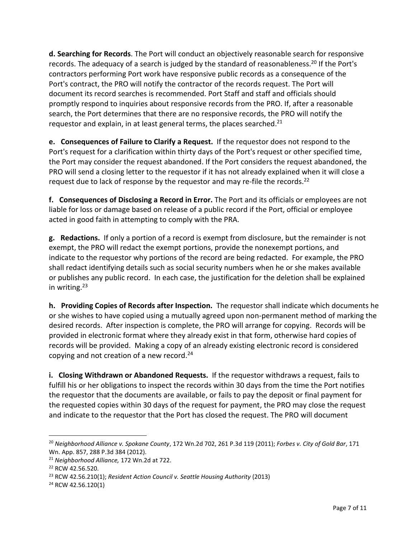**d. Searching for Records**. The Port will conduct an objectively reasonable search for responsive records. The adequacy of a search is judged by the standard of reasonableness.<sup>20</sup> If the Port's contractors performing Port work have responsive public records as a consequence of the Port's contract, the PRO will notify the contractor of the records request. The Port will document its record searches is recommended. Port Staff and staff and officials should promptly respond to inquiries about responsive records from the PRO. If, after a reasonable search, the Port determines that there are no responsive records, the PRO will notify the requestor and explain, in at least general terms, the places searched.<sup>21</sup>

**e. Consequences of Failure to Clarify a Request.** If the requestor does not respond to the Port's request for a clarification within thirty days of the Port's request or other specified time, the Port may consider the request abandoned. If the Port considers the request abandoned, the PRO will send a closing letter to the requestor if it has not already explained when it will close a request due to lack of response by the requestor and may re-file the records.<sup>22</sup>

**f. Consequences of Disclosing a Record in Error.** The Port and its officials or employees are not liable for loss or damage based on release of a public record if the Port, official or employee acted in good faith in attempting to comply with the PRA.

**g. Redactions.** If only a portion of a record is exempt from disclosure, but the remainder is not exempt, the PRO will redact the exempt portions, provide the nonexempt portions, and indicate to the requestor why portions of the record are being redacted. For example, the PRO shall redact identifying details such as social security numbers when he or she makes available or publishes any public record. In each case, the justification for the deletion shall be explained in writing.<sup>23</sup>

**h. Providing Copies of Records after Inspection.** The requestor shall indicate which documents he or she wishes to have copied using a mutually agreed upon non-permanent method of marking the desired records. After inspection is complete, the PRO will arrange for copying. Records will be provided in electronic format where they already exist in that form, otherwise hard copies of records will be provided. Making a copy of an already existing electronic record is considered copying and not creation of a new record. $24$ 

**i. Closing Withdrawn or Abandoned Requests.** If the requestor withdraws a request, fails to fulfill his or her obligations to inspect the records within 30 days from the time the Port notifies the requestor that the documents are available, or fails to pay the deposit or final payment for the requested copies within 30 days of the request for payment, the PRO may close the request and indicate to the requestor that the Port has closed the request. The PRO will document

<sup>20</sup> *Neighborhood Alliance v. Spokane County*, 172 Wn.2d 702, 261 P.3d 119 (2011); *Forbes v. City of Gold Bar*, 171 Wn. App. 857, 288 P.3d 384 (2012).

<sup>21</sup> *Neighborhood Alliance,* 172 Wn.2d at 722.

<sup>22</sup> RCW 42.56.520.

<sup>23</sup> RCW 42.56.210(1); *Resident Action Council v. Seattle Housing Authority* (2013)

<sup>24</sup> RCW 42.56.120(1)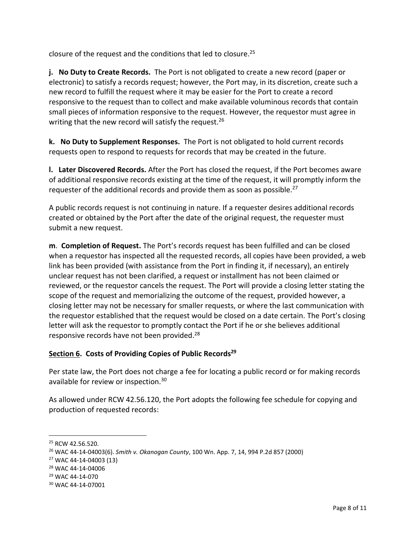closure of the request and the conditions that led to closure.<sup>25</sup>

**j. No Duty to Create Records.** The Port is not obligated to create a new record (paper or electronic) to satisfy a records request; however, the Port may, in its discretion, create such a new record to fulfill the request where it may be easier for the Port to create a record responsive to the request than to collect and make available voluminous records that contain small pieces of information responsive to the request. However, the requestor must agree in writing that the new record will satisfy the request.<sup>26</sup>

**k. No Duty to Supplement Responses.** The Port is not obligated to hold current records requests open to respond to requests for records that may be created in the future.

**l. Later Discovered Records.** After the Port has closed the request, if the Port becomes aware of additional responsive records existing at the time of the request, it will promptly inform the requester of the additional records and provide them as soon as possible.<sup>27</sup>

A public records request is not continuing in nature. If a requester desires additional records created or obtained by the Port after the date of the original request, the requester must submit a new request.

**m**. **Completion of Request.** The Port's records request has been fulfilled and can be closed when a requestor has inspected all the requested records, all copies have been provided, a web link has been provided (with assistance from the Port in finding it, if necessary), an entirely unclear request has not been clarified, a request or installment has not been claimed or reviewed, or the requestor cancels the request. The Port will provide a closing letter stating the scope of the request and memorializing the outcome of the request, provided however, a closing letter may not be necessary for smaller requests, or where the last communication with the requestor established that the request would be closed on a date certain. The Port's closing letter will ask the requestor to promptly contact the Port if he or she believes additional responsive records have not been provided.<sup>28</sup>

## **Section 6. Costs of Providing Copies of Public Records<sup>29</sup>**

Per state law, the Port does not charge a fee for locating a public record or for making records available for review or inspection.<sup>30</sup>

As allowed under RCW 42.56.120, the Port adopts the following fee schedule for copying and production of requested records:

<sup>&</sup>lt;sup>25</sup> RCW 42.56.520.

<sup>26</sup> WAC 44-14-04003(6). *Smith v. Okanogan County*, 100 Wn. App. 7, 14, 994 P.2d 857 (2000)

<sup>27</sup> WAC 44-14-04003 (13)

<sup>28</sup> WAC 44-14-04006

<sup>29</sup> WAC 44-14-070

<sup>30</sup> WAC 44-14-07001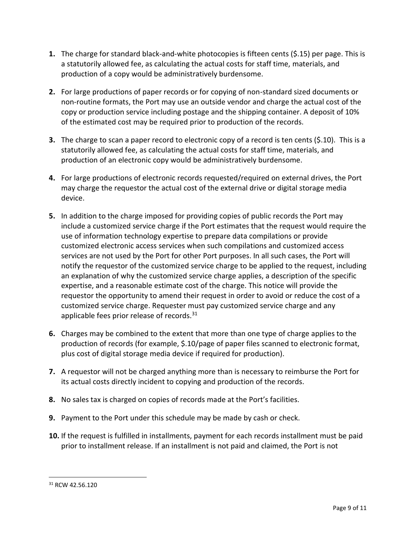- **1.** The charge for standard black-and-white photocopies is fifteen cents (\$.15) per page. This is a statutorily allowed fee, as calculating the actual costs for staff time, materials, and production of a copy would be administratively burdensome.
- **2.** For large productions of paper records or for copying of non-standard sized documents or non-routine formats, the Port may use an outside vendor and charge the actual cost of the copy or production service including postage and the shipping container. A deposit of 10% of the estimated cost may be required prior to production of the records.
- **3.** The charge to scan a paper record to electronic copy of a record is ten cents (\$.10). This is a statutorily allowed fee, as calculating the actual costs for staff time, materials, and production of an electronic copy would be administratively burdensome.
- **4.** For large productions of electronic records requested/required on external drives, the Port may charge the requestor the actual cost of the external drive or digital storage media device.
- **5.** In addition to the charge imposed for providing copies of public records the Port may include a customized service charge if the Port estimates that the request would require the use of information technology expertise to prepare data compilations or provide customized electronic access services when such compilations and customized access services are not used by the Port for other Port purposes. In all such cases, the Port will notify the requestor of the customized service charge to be applied to the request, including an explanation of why the customized service charge applies, a description of the specific expertise, and a reasonable estimate cost of the charge. This notice will provide the requestor the opportunity to amend their request in order to avoid or reduce the cost of a customized service charge. Requester must pay customized service charge and any applicable fees prior release of records.<sup>31</sup>
- **6.** Charges may be combined to the extent that more than one type of charge applies to the production of records (for example, \$.10/page of paper files scanned to electronic format, plus cost of digital storage media device if required for production).
- **7.** A requestor will not be charged anything more than is necessary to reimburse the Port for its actual costs directly incident to copying and production of the records.
- **8.** No sales tax is charged on copies of records made at the Port's facilities.
- **9.** Payment to the Port under this schedule may be made by cash or check.
- **10.** If the request is fulfilled in installments, payment for each records installment must be paid prior to installment release. If an installment is not paid and claimed, the Port is not

<sup>31</sup> RCW 42.56.120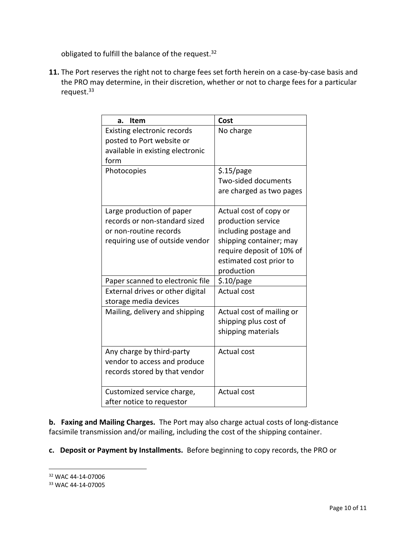obligated to fulfill the balance of the request.<sup>32</sup>

**11.** The Port reserves the right not to charge fees set forth herein on a case-by-case basis and the PRO may determine, in their discretion, whether or not to charge fees for a particular request.<sup>33</sup>

| <b>Item</b><br>a.                                                                                                       | Cost                                                                                                                                                                   |
|-------------------------------------------------------------------------------------------------------------------------|------------------------------------------------------------------------------------------------------------------------------------------------------------------------|
| Existing electronic records<br>posted to Port website or<br>available in existing electronic<br>form                    | No charge                                                                                                                                                              |
| Photocopies                                                                                                             | \$.15/page<br>Two-sided documents<br>are charged as two pages                                                                                                          |
| Large production of paper<br>records or non-standard sized<br>or non-routine records<br>requiring use of outside vendor | Actual cost of copy or<br>production service<br>including postage and<br>shipping container; may<br>require deposit of 10% of<br>estimated cost prior to<br>production |
| Paper scanned to electronic file                                                                                        | $$.10$ /page                                                                                                                                                           |
| External drives or other digital<br>storage media devices                                                               | <b>Actual cost</b>                                                                                                                                                     |
| Mailing, delivery and shipping                                                                                          | Actual cost of mailing or<br>shipping plus cost of<br>shipping materials                                                                                               |
| Any charge by third-party<br>vendor to access and produce<br>records stored by that vendor                              | <b>Actual cost</b>                                                                                                                                                     |
| Customized service charge,<br>after notice to requestor                                                                 | <b>Actual cost</b>                                                                                                                                                     |

**b. Faxing and Mailing Charges.** The Port may also charge actual costs of long-distance facsimile transmission and/or mailing, including the cost of the shipping container.

**c. Deposit or Payment by Installments.** Before beginning to copy records, the PRO or

<sup>32</sup> WAC 44-14-07006

<sup>33</sup> WAC 44-14-07005